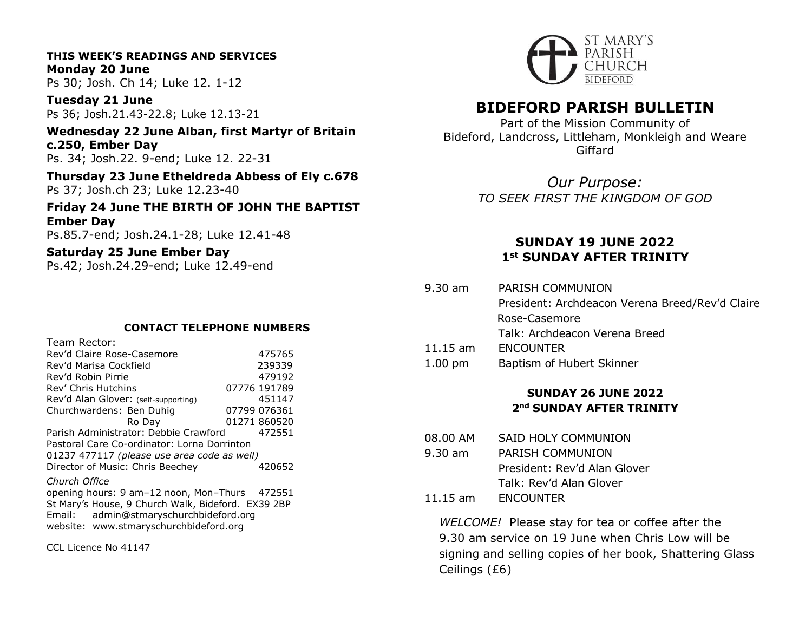### **THIS WEEK'S READINGS AND SERVICES Monday 20 June** Ps 30; Josh. Ch 14; Luke 12. 1-12

**Tuesday 21 June** Ps 36; Josh.21.43-22.8; Luke 12.13-21

## **Wednesday 22 June Alban, first Martyr of Britain c.250, Ember Day** Ps. 34; Josh.22. 9-end; Luke 12. 22-31

**Thursday 23 June Etheldreda Abbess of Ely c.678** Ps 37; Josh.ch 23; Luke 12.23-40

**Friday 24 June THE BIRTH OF JOHN THE BAPTIST Ember Day** Ps.85.7-end; Josh.24.1-28; Luke 12.41-48

## **Saturday 25 June Ember Day** Ps.42; Josh.24.29-end; Luke 12.49-end

## **CONTACT TELEPHONE NUMBERS**

| Team Rector:                                       |  |              |
|----------------------------------------------------|--|--------------|
| Rev'd Claire Rose-Casemore                         |  | 475765       |
| Rev'd Marisa Cockfield                             |  | 239339       |
| Rev'd Robin Pirrie                                 |  | 479192       |
| Rev' Chris Hutchins                                |  | 07776 191789 |
| Rev'd Alan Glover: (self-supporting)               |  | 451147       |
| Churchwardens: Ben Duhig                           |  | 07799 076361 |
| Ro Day                                             |  | 01271 860520 |
| Parish Administrator: Debbie Crawford              |  | 472551       |
| Pastoral Care Co-ordinator: Lorna Dorrinton        |  |              |
| 01237 477117 (please use area code as well)        |  |              |
| Director of Music: Chris Beechey                   |  | 420652       |
| Church Office                                      |  |              |
| opening hours: 9 am-12 noon, Mon-Thurs 472551      |  |              |
| St Mary's House, 9 Church Walk, Bideford. EX39 2BP |  |              |
| admin@stmaryschurchbideford.org<br>Email:          |  |              |
| website: www.stmaryschurchbideford.org             |  |              |
|                                                    |  |              |
| CCL Licence No 41147                               |  |              |



# **BIDEFORD PARISH BULLETIN**

Part of the Mission Community of Bideford, Landcross, Littleham, Monkleigh and Weare Giffard

> *Our Purpose: TO SEEK FIRST THE KINGDOM OF GOD*

## **SUNDAY 19 JUNE 2022 1st SUNDAY AFTER TRINITY**

| $9.30$ am         | PARISH COMMUNION                                |
|-------------------|-------------------------------------------------|
|                   | President: Archdeacon Verena Breed/Rev'd Claire |
|                   | Rose-Casemore                                   |
|                   | Talk: Archdeacon Verena Breed                   |
| $11.15$ am        | <b>ENCOUNTER</b>                                |
| $1.00 \text{ pm}$ | Baptism of Hubert Skinner                       |

## **SUNDAY 26 JUNE 2022 2nd SUNDAY AFTER TRINITY**

- 08.00 AM SAID HOLY COMMUNION 9.30 am PARISH COMMUNION President: Rev'd Alan Glover
	- Talk: Rev'd Alan Glover
- 11.15 am ENCOUNTER

*WELCOME!* Please stay for tea or coffee after the 9.30 am service on 19 June when Chris Low will be signing and selling copies of her book, Shattering Glass Ceilings (£6)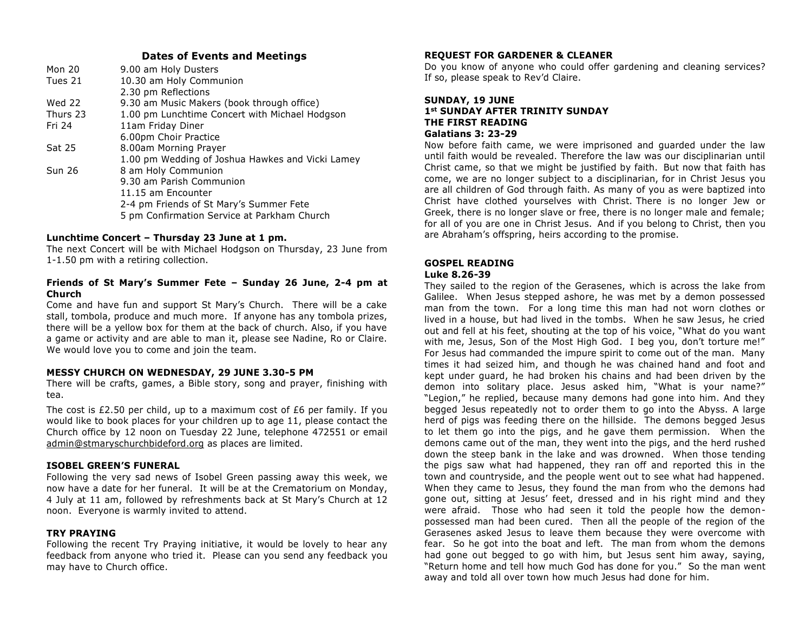#### **Dates of Events and Meetings**

| Mon 20        | 9.00 am Holy Dusters                             |
|---------------|--------------------------------------------------|
| Tues 21       | 10.30 am Holy Communion                          |
|               | 2.30 pm Reflections                              |
| Wed 22        | 9.30 am Music Makers (book through office)       |
| Thurs 23      | 1.00 pm Lunchtime Concert with Michael Hodgson   |
| Fri 24        | 11am Friday Diner                                |
|               | 6.00pm Choir Practice                            |
| Sat 25        | 8.00am Morning Prayer                            |
|               | 1.00 pm Wedding of Joshua Hawkes and Vicki Lamey |
| <b>Sun 26</b> | 8 am Holy Communion                              |
|               | 9.30 am Parish Communion                         |
|               | 11.15 am Encounter                               |
|               | 2-4 pm Friends of St Mary's Summer Fete          |
|               | 5 pm Confirmation Service at Parkham Church      |

#### **Lunchtime Concert – Thursday 23 June at 1 pm.**

The next Concert will be with Michael Hodgson on Thursday, 23 June from 1-1.50 pm with a retiring collection.

#### **Friends of St Mary's Summer Fete – Sunday 26 June, 2-4 pm at Church**

Come and have fun and support St Mary's Church. There will be a cake stall, tombola, produce and much more. If anyone has any tombola prizes, there will be a yellow box for them at the back of church. Also, if you have a game or activity and are able to man it, please see Nadine, Ro or Claire. We would love you to come and join the team.

#### **MESSY CHURCH ON WEDNESDAY, 29 JUNE 3.30-5 PM**

There will be crafts, games, a Bible story, song and prayer, finishing with tea.

The cost is £2.50 per child, up to a maximum cost of £6 per family. If you would like to book places for your children up to age 11, please contact the Church office by 12 noon on Tuesday 22 June, telephone 472551 or email [admin@stmaryschurchbideford.org](mailto:admin@stmaryschurchbideford.org) as places are limited.

#### **ISOBEL GREEN'S FUNERAL**

Following the very sad news of Isobel Green passing away this week, we now have a date for her funeral. It will be at the Crematorium on Monday, 4 July at 11 am, followed by refreshments back at St Mary's Church at 12 noon. Everyone is warmly invited to attend.

#### **TRY PRAYING**

Following the recent Try Praying initiative, it would be lovely to hear any feedback from anyone who tried it. Please can you send any feedback you may have to Church office.

### **REQUEST FOR GARDENER & CLEANER**

Do you know of anyone who could offer gardening and cleaning services? If so, please speak to Rev'd Claire.

#### **SUNDAY, 19 JUNE 1st SUNDAY AFTER TRINITY SUNDAY THE FIRST READING Galatians 3: 23-29**

Now before faith came, we were imprisoned and guarded under the law until faith would be revealed. Therefore the law was our disciplinarian until Christ came, so that we might be justified by faith. But now that faith has come, we are no longer subject to a disciplinarian, for in Christ Jesus you are all children of God through faith. As many of you as were baptized into Christ have clothed yourselves with Christ. There is no longer Jew or Greek, there is no longer slave or free, there is no longer male and female; for all of you are one in Christ Jesus. And if you belong to Christ, then you are Abraham's offspring, heirs according to the promise.

## **GOSPEL READING**

#### **Luke 8.26-39**

They sailed to the region of the Gerasenes, which is across the lake from Galilee. When Jesus stepped ashore, he was met by a demon possessed man from the town. For a long time this man had not worn clothes or lived in a house, but had lived in the tombs. When he saw Jesus, he cried out and fell at his feet, shouting at the top of his voice, "What do you want with me, Jesus, Son of the Most High God. I beg you, don't torture me!" For Jesus had commanded the impure spirit to come out of the man. Many times it had seized him, and though he was chained hand and foot and kept under guard, he had broken his chains and had been driven by the demon into solitary place. Jesus asked him, "What is your name?" "Legion," he replied, because many demons had gone into him. And they begged Jesus repeatedly not to order them to go into the Abyss. A large herd of pigs was feeding there on the hillside. The demons begged Jesus to let them go into the pigs, and he gave them permission. When the demons came out of the man, they went into the pigs, and the herd rushed down the steep bank in the lake and was drowned. When those tending the pigs saw what had happened, they ran off and reported this in the town and countryside, and the people went out to see what had happened. When they came to Jesus, they found the man from who the demons had gone out, sitting at Jesus' feet, dressed and in his right mind and they were afraid. Those who had seen it told the people how the demonpossessed man had been cured. Then all the people of the region of the Gerasenes asked Jesus to leave them because they were overcome with fear. So he got into the boat and left. The man from whom the demons had gone out begged to go with him, but Jesus sent him away, saying, "Return home and tell how much God has done for you." So the man went away and told all over town how much Jesus had done for him.